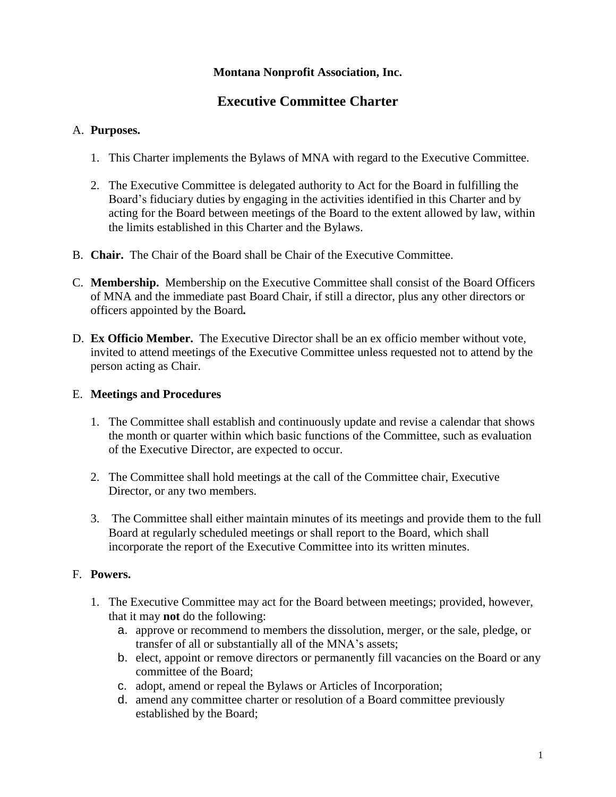## **Montana Nonprofit Association, Inc.**

# **Executive Committee Charter**

## A. **Purposes.**

- 1. This Charter implements the Bylaws of MNA with regard to the Executive Committee.
- 2. The Executive Committee is delegated authority to Act for the Board in fulfilling the Board's fiduciary duties by engaging in the activities identified in this Charter and by acting for the Board between meetings of the Board to the extent allowed by law, within the limits established in this Charter and the Bylaws.
- B. **Chair.** The Chair of the Board shall be Chair of the Executive Committee.
- C. **Membership.** Membership on the Executive Committee shall consist of the Board Officers of MNA and the immediate past Board Chair, if still a director, plus any other directors or officers appointed by the Board*.*
- D. **Ex Officio Member.** The Executive Director shall be an ex officio member without vote, invited to attend meetings of the Executive Committee unless requested not to attend by the person acting as Chair.

# E. **Meetings and Procedures**

- 1. The Committee shall establish and continuously update and revise a calendar that shows the month or quarter within which basic functions of the Committee, such as evaluation of the Executive Director, are expected to occur.
- 2. The Committee shall hold meetings at the call of the Committee chair, Executive Director, or any two members.
- 3. The Committee shall either maintain minutes of its meetings and provide them to the full Board at regularly scheduled meetings or shall report to the Board, which shall incorporate the report of the Executive Committee into its written minutes.

# F. **Powers.**

- 1. The Executive Committee may act for the Board between meetings; provided, however, that it may **not** do the following:
	- a. approve or recommend to members the dissolution, merger, or the sale, pledge, or transfer of all or substantially all of the MNA's assets;
	- b. elect, appoint or remove directors or permanently fill vacancies on the Board or any committee of the Board;
	- c. adopt, amend or repeal the Bylaws or Articles of Incorporation;
	- d. amend any committee charter or resolution of a Board committee previously established by the Board;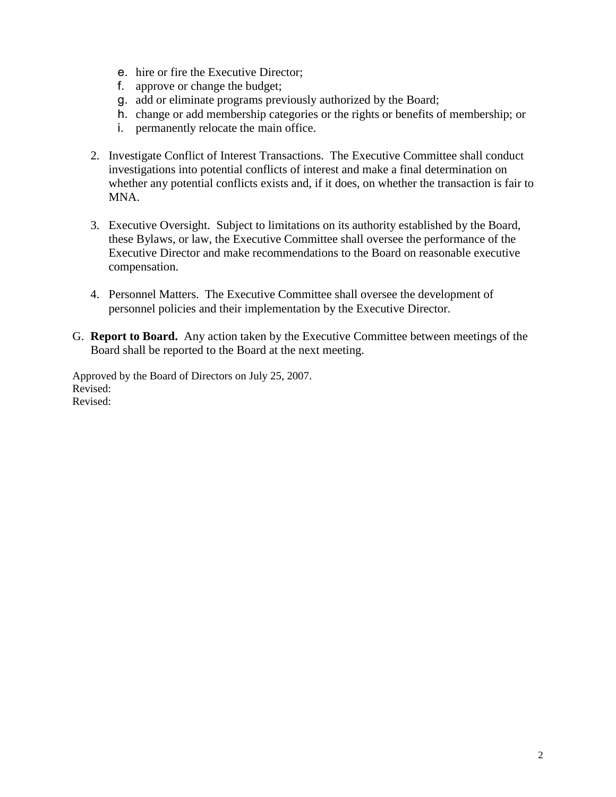- e. hire or fire the Executive Director;
- f. approve or change the budget;
- g. add or eliminate programs previously authorized by the Board;
- h. change or add membership categories or the rights or benefits of membership; or
- i. permanently relocate the main office.
- 2. Investigate Conflict of Interest Transactions. The Executive Committee shall conduct investigations into potential conflicts of interest and make a final determination on whether any potential conflicts exists and, if it does, on whether the transaction is fair to MNA.
- 3. Executive Oversight. Subject to limitations on its authority established by the Board, these Bylaws, or law, the Executive Committee shall oversee the performance of the Executive Director and make recommendations to the Board on reasonable executive compensation.
- 4. Personnel Matters. The Executive Committee shall oversee the development of personnel policies and their implementation by the Executive Director.
- G. **Report to Board.** Any action taken by the Executive Committee between meetings of the Board shall be reported to the Board at the next meeting.

Approved by the Board of Directors on July 25, 2007. Revised: Revised: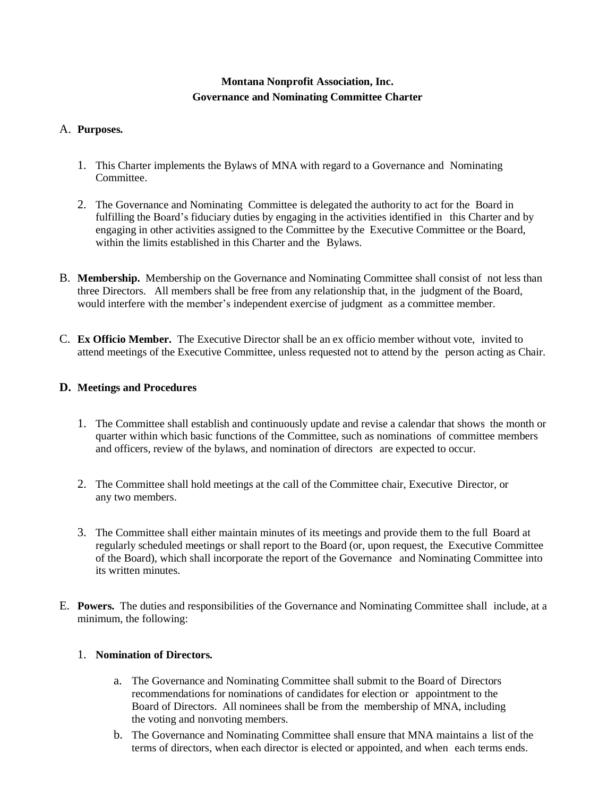## **Montana Nonprofit Association, Inc. Governance and Nominating Committee Charter**

#### A. **Purposes.**

- 1. This Charter implements the Bylaws of MNA with regard to a Governance and Nominating Committee.
- 2. The Governance and Nominating Committee is delegated the authority to act for the Board in fulfilling the Board's fiduciary duties by engaging in the activities identified in this Charter and by engaging in other activities assigned to the Committee by the Executive Committee or the Board, within the limits established in this Charter and the Bylaws.
- B. **Membership.** Membership on the Governance and Nominating Committee shall consist of not less than three Directors. All members shall be free from any relationship that, in the judgment of the Board, would interfere with the member's independent exercise of judgment as a committee member.
- C. **Ex Officio Member.** The Executive Director shall be an ex officio member without vote, invited to attend meetings of the Executive Committee, unless requested not to attend by the person acting as Chair.

#### **D. Meetings and Procedures**

- 1. The Committee shall establish and continuously update and revise a calendar that shows the month or quarter within which basic functions of the Committee, such as nominations of committee members and officers, review of the bylaws, and nomination of directors are expected to occur.
- 2. The Committee shall hold meetings at the call of the Committee chair, Executive Director, or any two members.
- 3. The Committee shall either maintain minutes of its meetings and provide them to the full Board at regularly scheduled meetings or shall report to the Board (or, upon request, the Executive Committee of the Board), which shall incorporate the report of the Governance and Nominating Committee into its written minutes.
- E. **Powers.** The duties and responsibilities of the Governance and Nominating Committee shall include, at a minimum, the following:

#### 1. **Nomination of Directors.**

- a. The Governance and Nominating Committee shall submit to the Board of Directors recommendations for nominations of candidates for election or appointment to the Board of Directors. All nominees shall be from the membership of MNA, including the voting and nonvoting members.
- b. The Governance and Nominating Committee shall ensure that MNA maintains a list of the terms of directors, when each director is elected or appointed, and when each terms ends.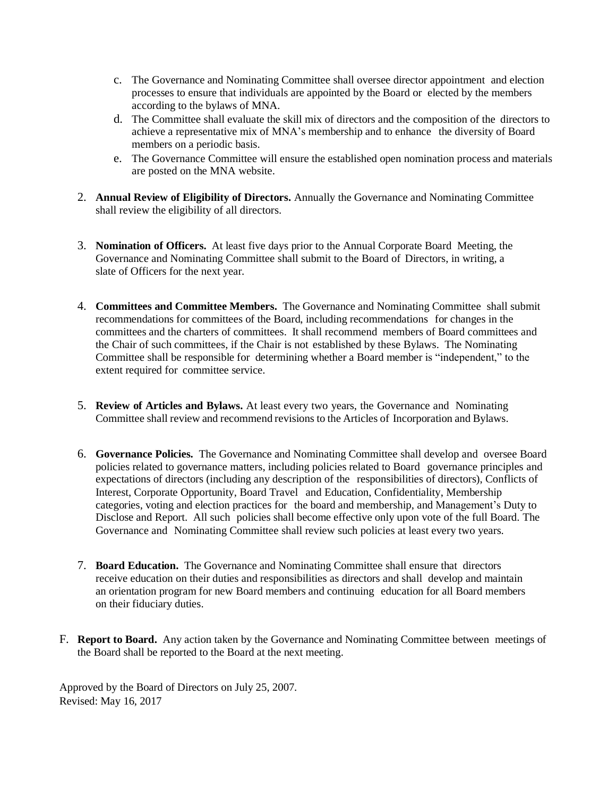- c. The Governance and Nominating Committee shall oversee director appointment and election processes to ensure that individuals are appointed by the Board or elected by the members according to the bylaws of MNA.
- d. The Committee shall evaluate the skill mix of directors and the composition of the directors to achieve a representative mix of MNA's membership and to enhance the diversity of Board members on a periodic basis.
- e. The Governance Committee will ensure the established open nomination process and materials are posted on the MNA website.
- 2. **Annual Review of Eligibility of Directors.** Annually the Governance and Nominating Committee shall review the eligibility of all directors.
- 3. **Nomination of Officers.** At least five days prior to the Annual Corporate Board Meeting, the Governance and Nominating Committee shall submit to the Board of Directors, in writing, a slate of Officers for the next year.
- 4. **Committees and Committee Members.** The Governance and Nominating Committee shall submit recommendations for committees of the Board, including recommendations for changes in the committees and the charters of committees. It shall recommend members of Board committees and the Chair of such committees, if the Chair is not established by these Bylaws. The Nominating Committee shall be responsible for determining whether a Board member is "independent," to the extent required for committee service.
- 5. **Review of Articles and Bylaws.** At least every two years, the Governance and Nominating Committee shall review and recommend revisions to the Articles of Incorporation and Bylaws.
- 6. **Governance Policies.** The Governance and Nominating Committee shall develop and oversee Board policies related to governance matters, including policies related to Board governance principles and expectations of directors (including any description of the responsibilities of directors), Conflicts of Interest, Corporate Opportunity, Board Travel and Education, Confidentiality, Membership categories, voting and election practices for the board and membership, and Management's Duty to Disclose and Report. All such policies shall become effective only upon vote of the full Board. The Governance and Nominating Committee shall review such policies at least every two years.
- 7. **Board Education.** The Governance and Nominating Committee shall ensure that directors receive education on their duties and responsibilities as directors and shall develop and maintain an orientation program for new Board members and continuing education for all Board members on their fiduciary duties.
- F. **Report to Board.** Any action taken by the Governance and Nominating Committee between meetings of the Board shall be reported to the Board at the next meeting.

Approved by the Board of Directors on July 25, 2007. Revised: May 16, 2017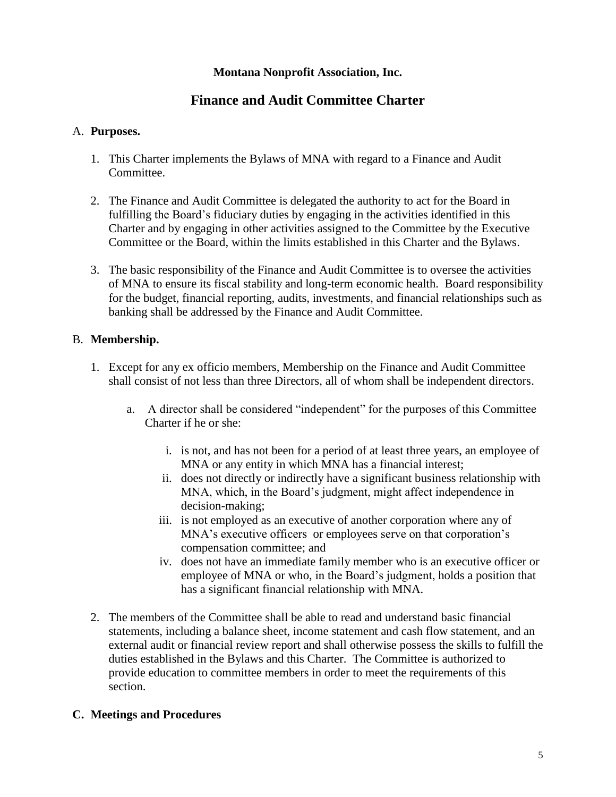## **Montana Nonprofit Association, Inc.**

# **Finance and Audit Committee Charter**

### A. **Purposes.**

- 1. This Charter implements the Bylaws of MNA with regard to a Finance and Audit Committee.
- 2. The Finance and Audit Committee is delegated the authority to act for the Board in fulfilling the Board's fiduciary duties by engaging in the activities identified in this Charter and by engaging in other activities assigned to the Committee by the Executive Committee or the Board, within the limits established in this Charter and the Bylaws.
- 3. The basic responsibility of the Finance and Audit Committee is to oversee the activities of MNA to ensure its fiscal stability and long-term economic health. Board responsibility for the budget, financial reporting, audits, investments, and financial relationships such as banking shall be addressed by the Finance and Audit Committee.

### B. **Membership.**

- 1. Except for any ex officio members, Membership on the Finance and Audit Committee shall consist of not less than three Directors, all of whom shall be independent directors.
	- a. A director shall be considered "independent" for the purposes of this Committee Charter if he or she:
		- i. is not, and has not been for a period of at least three years, an employee of MNA or any entity in which MNA has a financial interest;
		- ii. does not directly or indirectly have a significant business relationship with MNA, which, in the Board's judgment, might affect independence in decision-making;
		- iii. is not employed as an executive of another corporation where any of MNA's executive officers or employees serve on that corporation's compensation committee; and
		- iv. does not have an immediate family member who is an executive officer or employee of MNA or who, in the Board's judgment, holds a position that has a significant financial relationship with MNA.
- 2. The members of the Committee shall be able to read and understand basic financial statements, including a balance sheet, income statement and cash flow statement, and an external audit or financial review report and shall otherwise possess the skills to fulfill the duties established in the Bylaws and this Charter. The Committee is authorized to provide education to committee members in order to meet the requirements of this section.

## **C. Meetings and Procedures**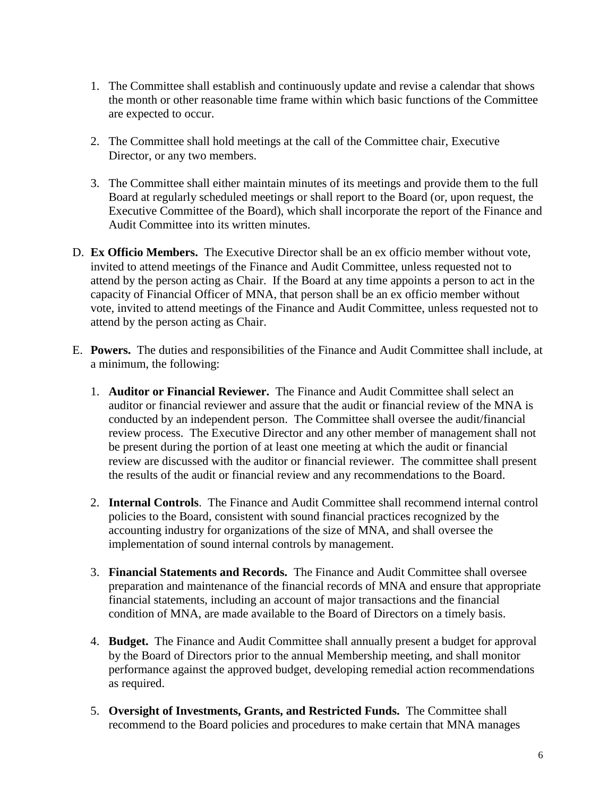- 1. The Committee shall establish and continuously update and revise a calendar that shows the month or other reasonable time frame within which basic functions of the Committee are expected to occur.
- 2. The Committee shall hold meetings at the call of the Committee chair, Executive Director, or any two members.
- 3. The Committee shall either maintain minutes of its meetings and provide them to the full Board at regularly scheduled meetings or shall report to the Board (or, upon request, the Executive Committee of the Board), which shall incorporate the report of the Finance and Audit Committee into its written minutes.
- D. **Ex Officio Members.** The Executive Director shall be an ex officio member without vote, invited to attend meetings of the Finance and Audit Committee, unless requested not to attend by the person acting as Chair. If the Board at any time appoints a person to act in the capacity of Financial Officer of MNA, that person shall be an ex officio member without vote, invited to attend meetings of the Finance and Audit Committee, unless requested not to attend by the person acting as Chair.
- E. **Powers.** The duties and responsibilities of the Finance and Audit Committee shall include, at a minimum, the following:
	- 1. **Auditor or Financial Reviewer.** The Finance and Audit Committee shall select an auditor or financial reviewer and assure that the audit or financial review of the MNA is conducted by an independent person. The Committee shall oversee the audit/financial review process. The Executive Director and any other member of management shall not be present during the portion of at least one meeting at which the audit or financial review are discussed with the auditor or financial reviewer. The committee shall present the results of the audit or financial review and any recommendations to the Board.
	- 2. **Internal Controls**. The Finance and Audit Committee shall recommend internal control policies to the Board, consistent with sound financial practices recognized by the accounting industry for organizations of the size of MNA, and shall oversee the implementation of sound internal controls by management.
	- 3. **Financial Statements and Records.** The Finance and Audit Committee shall oversee preparation and maintenance of the financial records of MNA and ensure that appropriate financial statements, including an account of major transactions and the financial condition of MNA, are made available to the Board of Directors on a timely basis.
	- 4. **Budget.** The Finance and Audit Committee shall annually present a budget for approval by the Board of Directors prior to the annual Membership meeting, and shall monitor performance against the approved budget, developing remedial action recommendations as required.
	- 5. **Oversight of Investments, Grants, and Restricted Funds.** The Committee shall recommend to the Board policies and procedures to make certain that MNA manages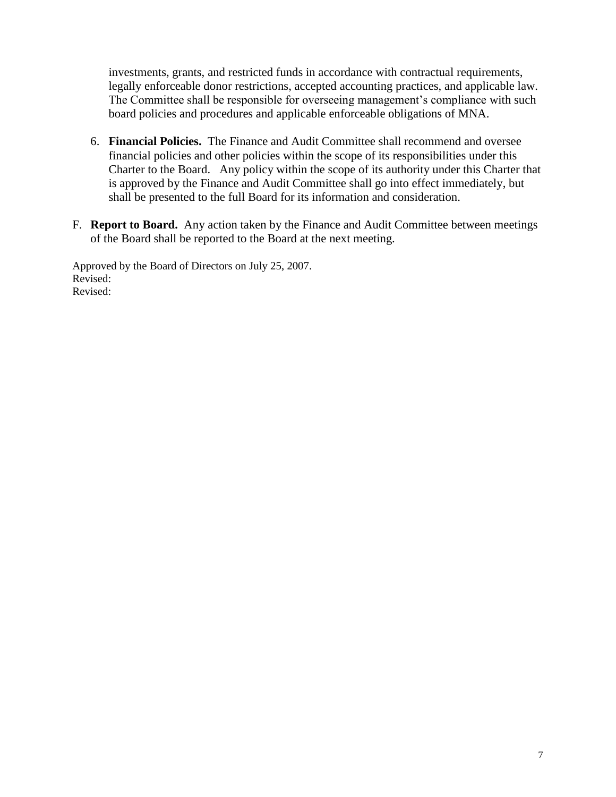investments, grants, and restricted funds in accordance with contractual requirements, legally enforceable donor restrictions, accepted accounting practices, and applicable law. The Committee shall be responsible for overseeing management's compliance with such board policies and procedures and applicable enforceable obligations of MNA.

- 6. **Financial Policies.** The Finance and Audit Committee shall recommend and oversee financial policies and other policies within the scope of its responsibilities under this Charter to the Board. Any policy within the scope of its authority under this Charter that is approved by the Finance and Audit Committee shall go into effect immediately, but shall be presented to the full Board for its information and consideration.
- F. **Report to Board.** Any action taken by the Finance and Audit Committee between meetings of the Board shall be reported to the Board at the next meeting.

Approved by the Board of Directors on July 25, 2007. Revised: Revised: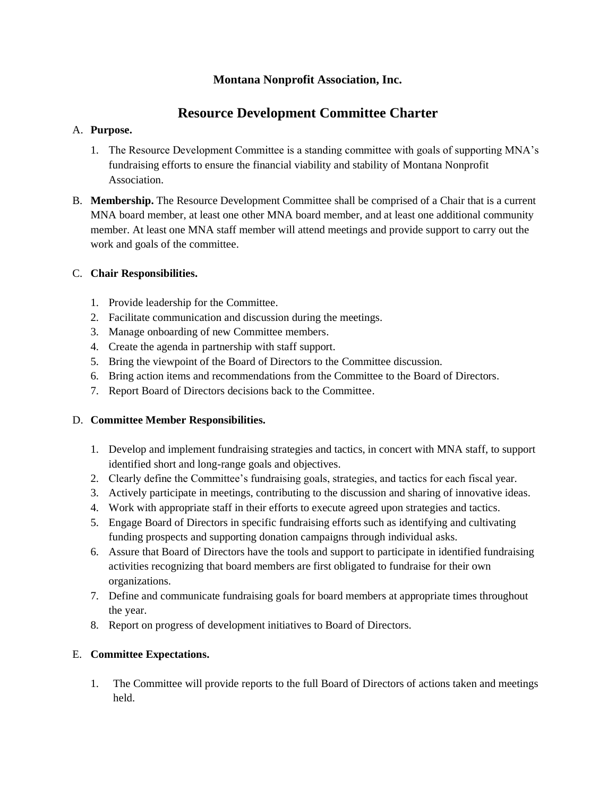## **Montana Nonprofit Association, Inc.**

# **Resource Development Committee Charter**

#### A. **Purpose.**

- 1. The Resource Development Committee is a standing committee with goals of supporting MNA's fundraising efforts to ensure the financial viability and stability of Montana Nonprofit Association.
- B. **Membership.** The Resource Development Committee shall be comprised of a Chair that is a current MNA board member, at least one other MNA board member, and at least one additional community member. At least one MNA staff member will attend meetings and provide support to carry out the work and goals of the committee.

### C. **Chair Responsibilities.**

- 1. Provide leadership for the Committee.
- 2. Facilitate communication and discussion during the meetings.
- 3. Manage onboarding of new Committee members.
- 4. Create the agenda in partnership with staff support.
- 5. Bring the viewpoint of the Board of Directors to the Committee discussion.
- 6. Bring action items and recommendations from the Committee to the Board of Directors.
- 7. Report Board of Directors decisions back to the Committee.

### D. **Committee Member Responsibilities.**

- 1. Develop and implement fundraising strategies and tactics, in concert with MNA staff, to support identified short and long-range goals and objectives.
- 2. Clearly define the Committee's fundraising goals, strategies, and tactics for each fiscal year.
- 3. Actively participate in meetings, contributing to the discussion and sharing of innovative ideas.
- 4. Work with appropriate staff in their efforts to execute agreed upon strategies and tactics.
- 5. Engage Board of Directors in specific fundraising efforts such as identifying and cultivating funding prospects and supporting donation campaigns through individual asks.
- 6. Assure that Board of Directors have the tools and support to participate in identified fundraising activities recognizing that board members are first obligated to fundraise for their own organizations.
- 7. Define and communicate fundraising goals for board members at appropriate times throughout the year.
- 8. Report on progress of development initiatives to Board of Directors.

### E. **Committee Expectations.**

1. The Committee will provide reports to the full Board of Directors of actions taken and meetings held.